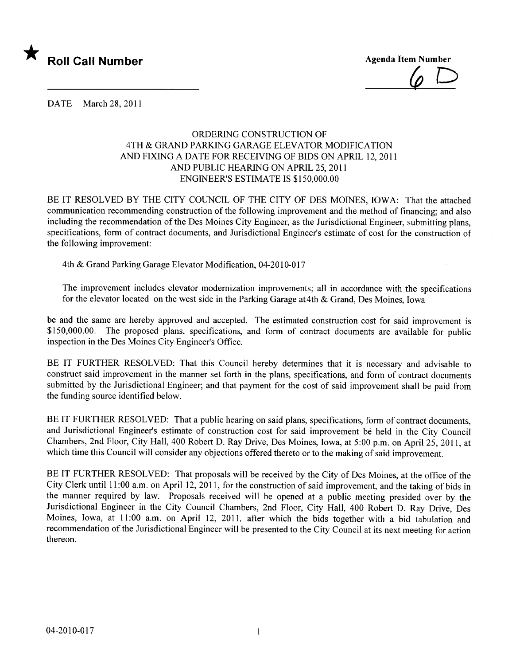

 $\varphi \:\mathop{\cup}\limits$ 

DATE March 28, 2011

## ORDERING CONSTRUCTION OF 4TH & GRAND PARKING GARAGE ELEVATOR MODIFICATION AND FIXING A DATE FOR RECEIVING OF BIDS ON APRIL 12,2011 AND PUBLIC HEARING ON APRIL 25, 2011 ENGINEER'S ESTIMATE IS \$150,000.00

BE IT RESOLVED BY THE CITY COUNCIL OF THE CITY OF DES MOINES, IOWA: That the attached communication recommending construction of the following improvement and the method of financing; and also including the recommendation of the Des Moines City Engineer, as the Jurisdictional Engineer, submitting plans, specifications, form of contract documents, and Jurisdictional Engineer's estimate of cost for the construction of the following improvement:

4th & Grand Parking Garage Elevator Modification, 04-2010-017

The improvement includes elevator modernization improvements; all in accordance with the specifications for the elevator located on the west side in the Parking Garage at4th & Grand, Des Moines, Iowa

be and the same are hereby approved and accepted. The estimated construction cost for said improvement is \$150,000.00. The proposed plans, specifications, and form of contract documents are available for public inspection in the Des Moines City Engineer's Office.

BE IT FURTHER RESOLVED: That this Council hereby determines that it is necessary and advisable to construct said improvement in the manner set forth in the plans, specifications, and form of contract documents submitted by the Jurisdictional Engineer; and that payment for the cost of said improvement shall be paid from the funding source identified below.

BE IT FURTHER RESOLVED: That a public hearing on said plans, specifications, form of contract documents, and Jurisdictional Engineer's estimate of construction cost for said improvement be held in the City Council Chambers, 2nd Floor, City Hall, 400 Robert D. Ray Drive, Des Moines, Iowa, at 5:00 p.m. on April 25,2011, at which time this Council will consider any objections offered thereto or to the making of said improvement.

BE IT FURTHER RESOLVED: That proposals will be received by the City of Des Moines, at the office of the City Clerk until 11 :00 a.m. on April 12, 2011, for the construction of said improvement, and the taking of bids in the manner required by law. Proposals received will be opened at a public meeting presided over by the Jurisdictional Engineer in the City Council Chambers, 2nd Floor, City Hall, 400 Robert D. Ray Drive, Des Moines, Iowa, at 11:00 a.m. on April 12, 2011, after which the bids together with a bid tabulation and recommendation of the Jurisdictional Engineer wil be presented to the City Council at its next meeting for action thereon.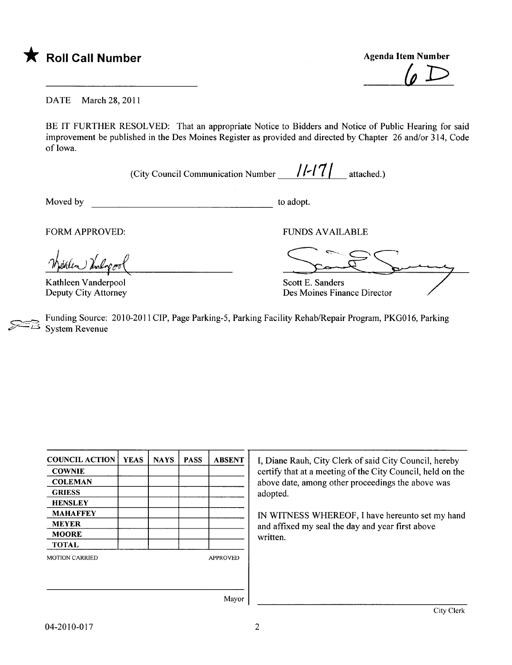

 $\varphi \, D$ 

DATE March 28, 2011

BE IT FURTHER RESOLVED: That an appropriate Notice to Bidders and Notice of Public Hearing for said improvement be published in the Des Moines Register as provided and directed by Chapter 26 and/or 314, Code of Iowa.

(City Council Communication Number  $/$ /-17| attached.)

Moved by to adopt.

) Undopero

Kathleen Vanderpool Deputy City Attorney

FORM APPROVED: TO THE RESERVE TO THE RESERVE TO THE RESERVE TO THE RESERVE TO THE RESERVE TO THE RESERVE TO THE RESERVE TO THE RESERVE TO THE RESERVE TO THE RESERVE TO THE RESERVE TO THE RESERVE TO THE RESERVE TO THE RESER

Scott E. Sanders Des Moines Finance Director

Funding Source: 2010-2011 CIP, Page Parking-5, Parking Facility Rehab/Repair Program, PKG016, Parking System Revenue

| <b>COUNCIL ACTION</b> | <b>YEAS</b> | <b>NAYS</b> | <b>PASS</b> | <b>ABSENT</b>   |
|-----------------------|-------------|-------------|-------------|-----------------|
| <b>COWNIE</b>         |             |             |             |                 |
| <b>COLEMAN</b>        |             |             |             |                 |
| <b>GRIESS</b>         |             |             |             |                 |
| <b>HENSLEY</b>        |             |             |             |                 |
| <b>MAHAFFEY</b>       |             |             |             |                 |
| <b>MEYER</b>          |             |             |             |                 |
| <b>MOORE</b>          |             |             |             |                 |
| <b>TOTAL</b>          |             |             |             |                 |
| <b>MOTION CARRIED</b> |             |             |             | <b>APPROVED</b> |
|                       |             |             |             |                 |
|                       |             |             |             |                 |
|                       |             |             |             | $\mathbf{r}$    |

I, Diane Rauh, City Clerk of said City Council, hereby certify that at a meeting of the City Council, held on the above date, among other proceedings the above was adopted.

IN WITNESS WHEREOF, I have hereunto set my hand and affxed my seal the day and year first above written.

Mayor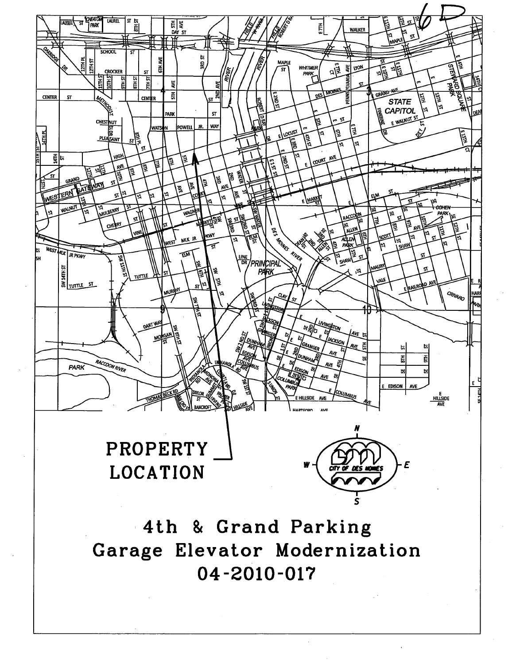